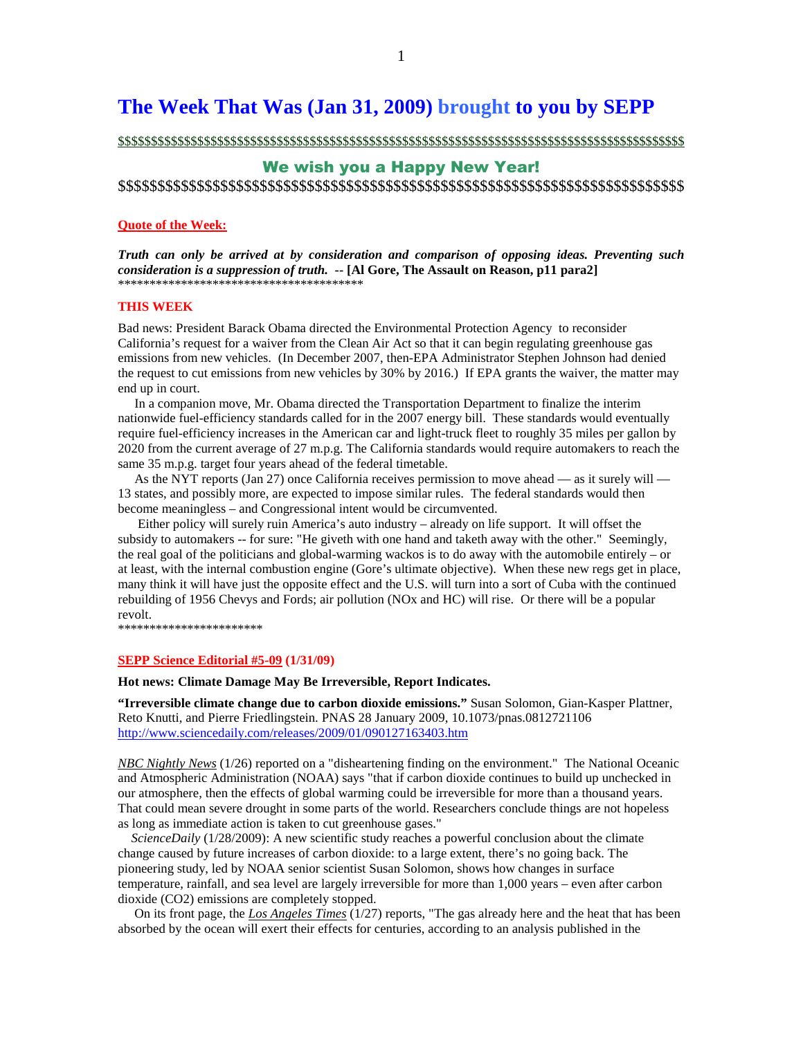# **The Week That Was (Jan 31, 2009) brought to you by SEPP**

\$\$\$\$\$\$\$\$\$\$\$\$\$\$\$\$\$\$\$\$\$\$\$\$\$\$\$\$\$\$\$\$\$\$\$\$\$\$\$\$\$\$\$\$\$\$\$\$\$\$\$\$\$\$\$\$\$\$\$\$\$\$\$\$\$\$\$\$\$\$\$\$\$\$\$\$\$\$\$\$\$\$\$\$\$\$

# We wish you a Happy New Year! \$\$\$\$\$\$\$\$\$\$\$\$\$\$\$\$\$\$\$\$\$\$\$\$\$\$\$\$\$\$\$\$\$\$\$\$\$\$\$\$\$\$\$\$\$\$\$\$\$\$\$\$\$\$\$\$\$\$\$\$\$\$\$\$\$\$\$\$\$\$\$\$

## **Quote of the Week:**

*Truth can only be arrived at by consideration and comparison of opposing ideas. Preventing such consideration is a suppression of truth.* **-- [Al Gore, The Assault on Reason, p11 para2]**  \*\*\*\*\*\*\*\*\*\*\*\*\*\*\*\*\*\*\*\*\*\*\*\*\*\*\*\*\*\*\*\*\*\*\*\*\*\*\*

## **THIS WEEK**

Bad news: President Barack Obama directed the Environmental Protection Agency to reconsider California's request for a waiver from the Clean Air Act so that it can begin regulating greenhouse gas emissions from new vehicles. (In December 2007, then-EPA Administrator Stephen Johnson had denied the request to cut emissions from new vehicles by 30% by 2016.) If EPA grants the waiver, the matter may end up in court.

 In a companion move, Mr. Obama directed the Transportation Department to finalize the interim nationwide fuel-efficiency standards called for in the 2007 energy bill. These standards would eventually require fuel-efficiency increases in the American car and light-truck fleet to roughly 35 miles per gallon by 2020 from the current average of 27 m.p.g. The California standards would require automakers to reach the same 35 m.p.g. target four years ahead of the federal timetable.

 As the NYT reports (Jan 27) once California receives permission to move ahead — as it surely will — 13 states, and possibly more, are expected to impose similar rules. The federal standards would then become meaningless – and Congressional intent would be circumvented.

 Either policy will surely ruin America's auto industry – already on life support. It will offset the subsidy to automakers -- for sure: "He giveth with one hand and taketh away with the other." Seemingly, the real goal of the politicians and global-warming wackos is to do away with the automobile entirely – or at least, with the internal combustion engine (Gore's ultimate objective). When these new regs get in place, many think it will have just the opposite effect and the U.S. will turn into a sort of Cuba with the continued rebuilding of 1956 Chevys and Fords; air pollution (NOx and HC) will rise. Or there will be a popular revolt.

\*\*\*\*\*\*\*\*\*\*\*\*\*\*\*\*\*\*\*\*\*\*\*

#### **SEPP Science Editorial #5-09 (1/31/09)**

#### **Hot news: Climate Damage May Be Irreversible, Report Indicates.**

**"Irreversible climate change due to carbon dioxide emissions."** Susan Solomon, Gian-Kasper Plattner, Reto Knutti, and Pierre Friedlingstein. PNAS 28 January 2009, 10.1073/pnas.0812721106 http://www.sciencedaily.com/releases/2009/01/090127163403.htm

*NBC Nightly News* (1/26) reported on a "disheartening finding on the environment." The National Oceanic and Atmospheric Administration (NOAA) says "that if carbon dioxide continues to build up unchecked in our atmosphere, then the effects of global warming could be irreversible for more than a thousand years. That could mean severe drought in some parts of the world. Researchers conclude things are not hopeless as long as immediate action is taken to cut greenhouse gases."

 *ScienceDaily* (1/28/2009): A new scientific study reaches a powerful conclusion about the climate change caused by future increases of carbon dioxide: to a large extent, there's no going back. The pioneering study, led by NOAA senior scientist Susan Solomon, shows how changes in surface temperature, rainfall, and sea level are largely irreversible for more than 1,000 years – even after carbon dioxide (CO2) emissions are completely stopped.

 On its front page, the *Los Angeles Times* (1/27) reports, "The gas already here and the heat that has been absorbed by the ocean will exert their effects for centuries, according to an analysis published in the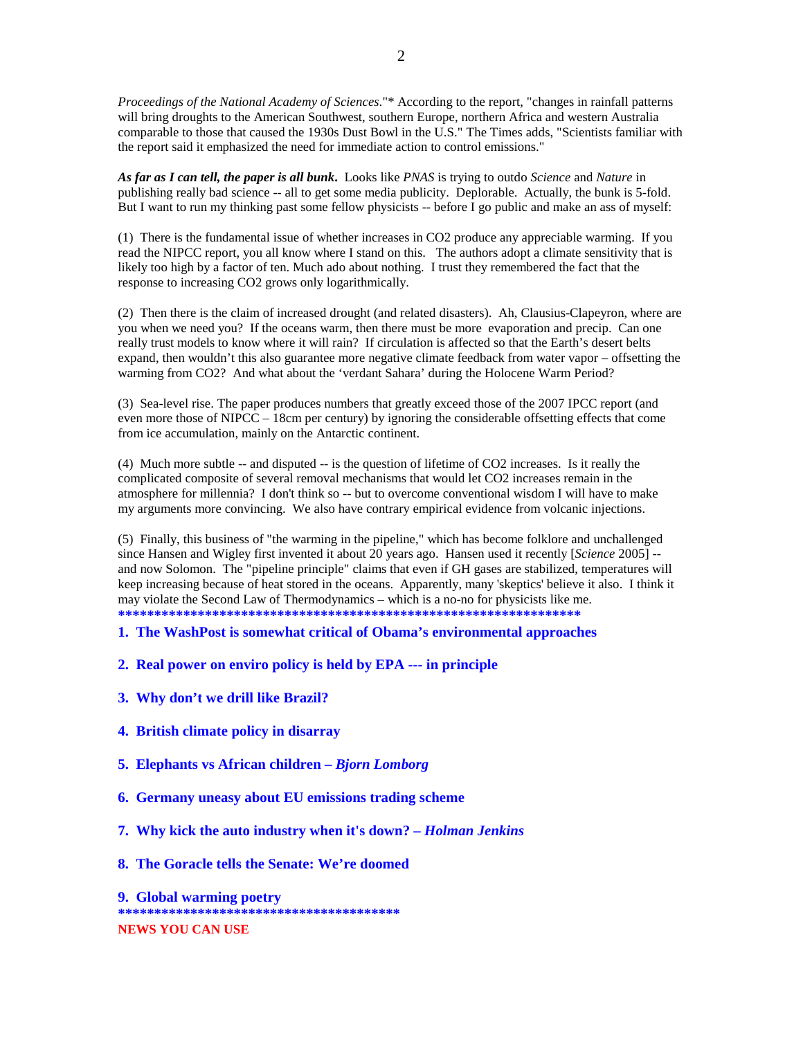*Proceedings of the National Academy of Sciences*."\* According to the report, "changes in rainfall patterns will bring droughts to the American Southwest, southern Europe, northern Africa and western Australia comparable to those that caused the 1930s Dust Bowl in the U.S." The Times adds, "Scientists familiar with the report said it emphasized the need for immediate action to control emissions."

*As far as I can tell, the paper is all bunk***.** Looks like *PNAS* is trying to outdo *Science* and *Nature* in publishing really bad science -- all to get some media publicity. Deplorable. Actually, the bunk is 5-fold. But I want to run my thinking past some fellow physicists -- before I go public and make an ass of myself:

(1) There is the fundamental issue of whether increases in CO2 produce any appreciable warming. If you read the NIPCC report, you all know where I stand on this. The authors adopt a climate sensitivity that is likely too high by a factor of ten. Much ado about nothing. I trust they remembered the fact that the response to increasing CO2 grows only logarithmically.

(2) Then there is the claim of increased drought (and related disasters). Ah, Clausius-Clapeyron, where are you when we need you? If the oceans warm, then there must be more evaporation and precip. Can one really trust models to know where it will rain? If circulation is affected so that the Earth's desert belts expand, then wouldn't this also guarantee more negative climate feedback from water vapor – offsetting the warming from CO2? And what about the 'verdant Sahara' during the Holocene Warm Period?

(3) Sea-level rise. The paper produces numbers that greatly exceed those of the 2007 IPCC report (and even more those of NIPCC – 18cm per century) by ignoring the considerable offsetting effects that come from ice accumulation, mainly on the Antarctic continent.

(4) Much more subtle -- and disputed -- is the question of lifetime of CO2 increases. Is it really the complicated composite of several removal mechanisms that would let CO2 increases remain in the atmosphere for millennia? I don't think so -- but to overcome conventional wisdom I will have to make my arguments more convincing. We also have contrary empirical evidence from volcanic injections.

(5) Finally, this business of "the warming in the pipeline," which has become folklore and unchallenged since Hansen and Wigley first invented it about 20 years ago. Hansen used it recently [*Science* 2005] - and now Solomon. The "pipeline principle" claims that even if GH gases are stabilized, temperatures will keep increasing because of heat stored in the oceans. Apparently, many 'skeptics' believe it also. I think it may violate the Second Law of Thermodynamics – which is a no-no for physicists like me. **\*\*\*\*\*\*\*\*\*\*\*\*\*\*\*\*\*\*\*\*\*\*\*\*\*\*\*\*\*\*\*\*\*\*\*\*\*\*\*\*\*\*\*\*\*\*\*\*\*\*\*\*\*\*\*\*\*\*\*\*\*\*\*\*** 

**1. The WashPost is somewhat critical of Obama's environmental approaches** 

- **2. Real power on enviro policy is held by EPA --- in principle**
- **3. Why don't we drill like Brazil?**
- **4. British climate policy in disarray**
- **5. Elephants vs African children** *Bjorn Lomborg*
- **6. Germany uneasy about EU emissions trading scheme**
- **7. Why kick the auto industry when it's down?** *Holman Jenkins*
- **8. The Goracle tells the Senate: We're doomed**

**9. Global warming poetry \*\*\*\*\*\*\*\*\*\*\*\*\*\*\*\*\*\*\*\*\*\*\*\*\*\*\*\*\*\*\*\*\*\*\*\*\*\*\* NEWS YOU CAN USE**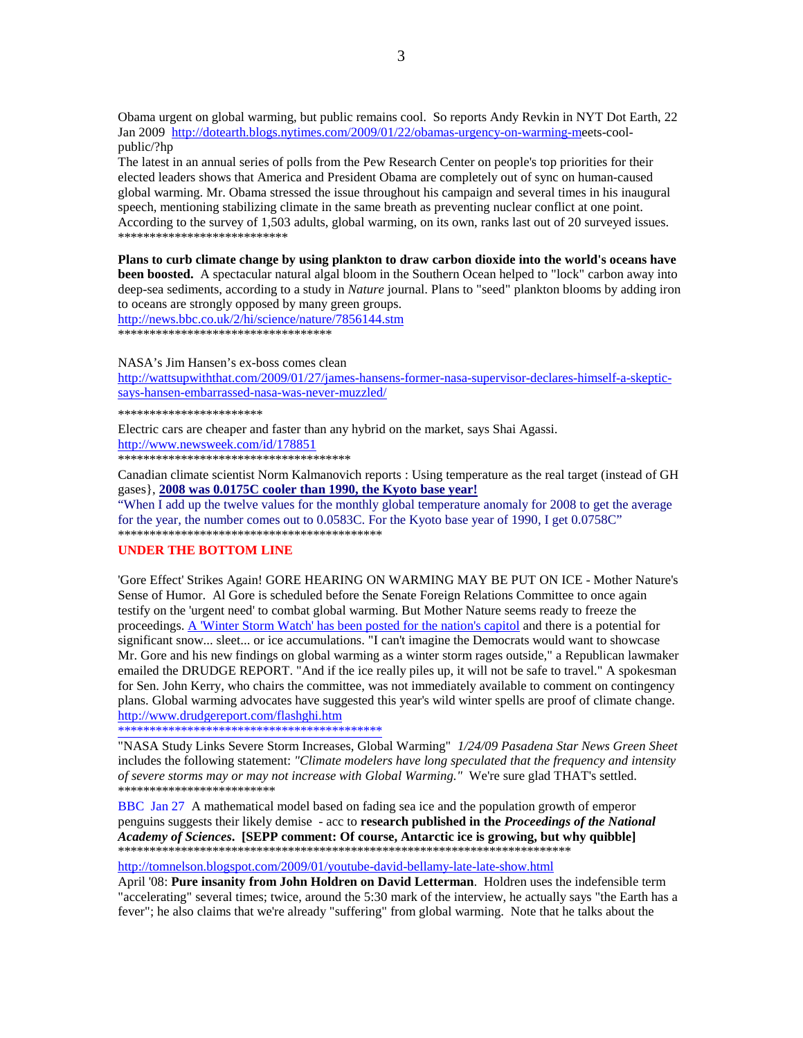Obama urgent on global warming, but public remains cool. So reports Andy Revkin in NYT Dot Earth, 22 Jan 2009 http://dotearth.blogs.nytimes.com/2009/01/22/obamas-urgency-on-warming-meets-coolpublic/?hp

The latest in an annual series of polls from the Pew Research Center on people's top priorities for their elected leaders shows that America and President Obama are completely out of sync on human-caused global warming. Mr. Obama stressed the issue throughout his campaign and several times in his inaugural speech, mentioning stabilizing climate in the same breath as preventing nuclear conflict at one point. According to the survey of 1,503 adults, global warming, on its own, ranks last out of 20 surveyed issues. \*\*\*\*\*\*\*\*\*\*\*\*\*\*\*\*\*\*\*\*\*\*\*\*\*\*\*

**Plans to curb climate change by using plankton to draw carbon dioxide into the world's oceans have been boosted.** A spectacular natural algal bloom in the Southern Ocean helped to "lock" carbon away into deep-sea sediments, according to a study in *Nature* journal. Plans to "seed" plankton blooms by adding iron to oceans are strongly opposed by many green groups.

http://news.bbc.co.uk/2/hi/science/nature/7856144.stm \*\*\*\*\*\*\*\*\*\*\*\*\*\*\*\*\*\*\*\*\*\*\*\*\*\*\*\*\*\*\*\*\*\*

NASA's Jim Hansen's ex-boss comes clean

http://wattsupwiththat.com/2009/01/27/james-hansens-former-nasa-supervisor-declares-himself-a-skepticsays-hansen-embarrassed-nasa-was-never-muzzled/

\*\*\*\*\*\*\*\*\*\*\*\*\*\*\*\*\*\*\*\*\*\*\*

Electric cars are cheaper and faster than any hybrid on the market, says Shai Agassi. http://www.newsweek.com/id/178851 \*\*\*\*\*\*\*\*\*\*\*\*\*\*\*\*\*\*\*\*\*\*\*\*\*\*\*\*\*\*\*\*\*\*\*\*\*

Canadian climate scientist Norm Kalmanovich reports : Using temperature as the real target (instead of GH gases}, **2008 was 0.0175C cooler than 1990, the Kyoto base year!**

"When I add up the twelve values for the monthly global temperature anomaly for 2008 to get the average for the year, the number comes out to 0.0583C. For the Kyoto base year of 1990, I get 0.0758C" \*\*\*\*\*\*\*\*\*\*\*\*\*\*\*\*\*\*\*\*\*\*\*\*\*\*\*\*\*\*\*\*\*\*\*\*\*\*\*\*\*\*

## **UNDER THE BOTTOM LINE**

'Gore Effect' Strikes Again! GORE HEARING ON WARMING MAY BE PUT ON ICE - Mother Nature's Sense of Humor. Al Gore is scheduled before the Senate Foreign Relations Committee to once again testify on the 'urgent need' to combat global warming. But Mother Nature seems ready to freeze the proceedings. A 'Winter Storm Watch' has been posted for the nation's capitol and there is a potential for significant snow... sleet... or ice accumulations. "I can't imagine the Democrats would want to showcase Mr. Gore and his new findings on global warming as a winter storm rages outside," a Republican lawmaker emailed the DRUDGE REPORT. "And if the ice really piles up, it will not be safe to travel." A spokesman for Sen. John Kerry, who chairs the committee, was not immediately available to comment on contingency plans. Global warming advocates have suggested this year's wild winter spells are proof of climate change. http://www.drudgereport.com/flashghi.htm

\*\*\*\*\*\*\*\*\*\*\*\*\*\*\*\*\*\*\*\*\*\*\*\*\*\*\*\*\*\*\*\*\*\*\*\*\*\*\*\*\*\*

"NASA Study Links Severe Storm Increases, Global Warming" *1/24/09 Pasadena Star News Green Sheet* includes the following statement: *"Climate modelers have long speculated that the frequency and intensity of severe storms may or may not increase with Global Warming."* We're sure glad THAT's settled. \*\*\*\*\*\*\*\*\*\*\*\*\*\*\*\*\*\*\*\*\*\*\*\*\*

BBC Jan 27 A mathematical model based on fading sea ice and the population growth of emperor penguins suggests their likely demise - acc to **research published in the** *Proceedings of the National Academy of Sciences***. [SEPP comment: Of course, Antarctic ice is growing, but why quibble]**  \*\*\*\*\*\*\*\*\*\*\*\*\*\*\*\*\*\*\*\*\*\*\*\*\*\*\*\*\*\*\*\*\*\*\*\*\*\*\*\*\*\*\*\*\*\*\*\*\*\*\*\*\*\*\*\*\*\*\*\*\*\*\*\*\*\*\*\*\*\*\*\*

http://tomnelson.blogspot.com/2009/01/youtube-david-bellamy-late-late-show.html

April '08: **Pure insanity from John Holdren on David Letterman**. Holdren uses the indefensible term "accelerating" several times; twice, around the 5:30 mark of the interview, he actually says "the Earth has a fever"; he also claims that we're already "suffering" from global warming. Note that he talks about the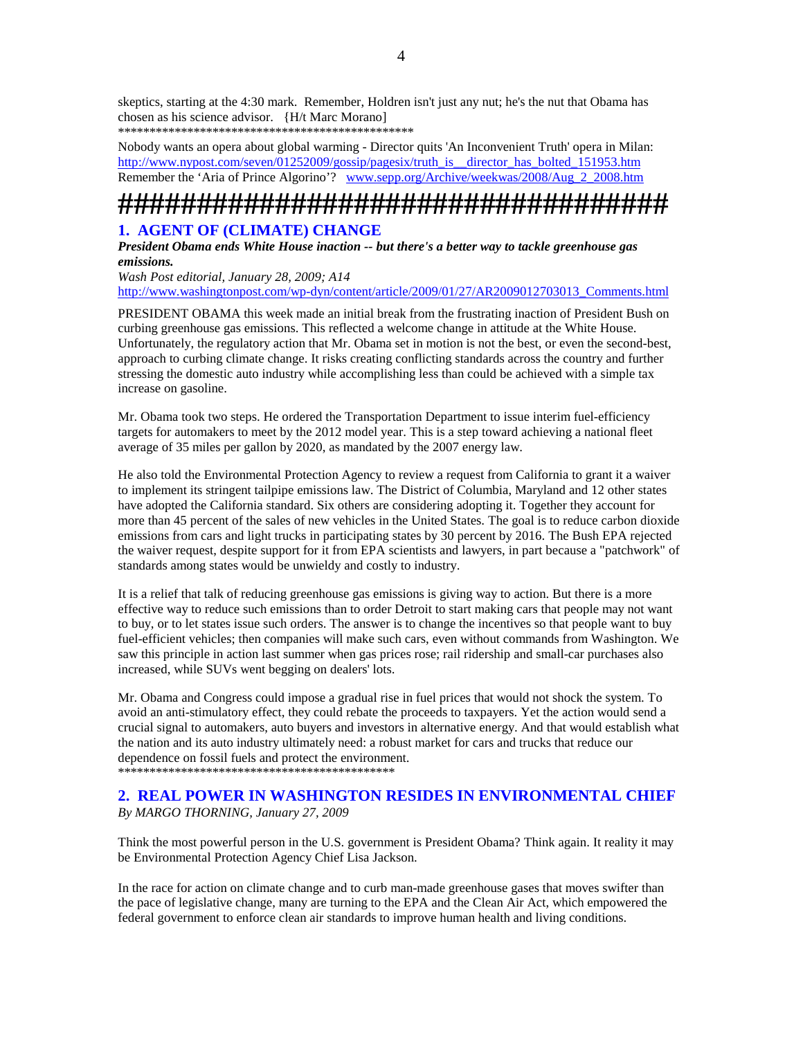skeptics, starting at the 4:30 mark. Remember, Holdren isn't just any nut; he's the nut that Obama has chosen as his science advisor. {H/t Marc Morano] \*\*\*\*\*\*\*\*\*\*\*\*\*\*\*\*\*\*\*\*\*\*\*\*\*\*\*\*\*\*\*\*\*\*\*\*\*\*\*\*\*\*\*\*\*\*\*

Nobody wants an opera about global warming - Director quits 'An Inconvenient Truth' opera in Milan: http://www.nypost.com/seven/01252009/gossip/pagesix/truth\_is\_\_director\_has\_bolted\_151953.htm Remember the 'Aria of Prince Algorino'? www.sepp.org/Archive/weekwas/2008/Aug\_2\_2008.htm

# **###################################**

# **1. AGENT OF (CLIMATE) CHANGE**

*President Obama ends White House inaction -- but there's a better way to tackle greenhouse gas emissions.* 

*Wash Post editorial, January 28, 2009; A14*  http://www.washingtonpost.com/wp-dyn/content/article/2009/01/27/AR2009012703013\_Comments.html

PRESIDENT OBAMA this week made an initial break from the frustrating inaction of President Bush on curbing greenhouse gas emissions. This reflected a welcome change in attitude at the White House. Unfortunately, the regulatory action that Mr. Obama set in motion is not the best, or even the second-best, approach to curbing climate change. It risks creating conflicting standards across the country and further stressing the domestic auto industry while accomplishing less than could be achieved with a simple tax increase on gasoline.

Mr. Obama took two steps. He ordered the Transportation Department to issue interim fuel-efficiency targets for automakers to meet by the 2012 model year. This is a step toward achieving a national fleet average of 35 miles per gallon by 2020, as mandated by the 2007 energy law.

He also told the Environmental Protection Agency to review a request from California to grant it a waiver to implement its stringent tailpipe emissions law. The District of Columbia, Maryland and 12 other states have adopted the California standard. Six others are considering adopting it. Together they account for more than 45 percent of the sales of new vehicles in the United States. The goal is to reduce carbon dioxide emissions from cars and light trucks in participating states by 30 percent by 2016. The Bush EPA rejected the waiver request, despite support for it from EPA scientists and lawyers, in part because a "patchwork" of standards among states would be unwieldy and costly to industry.

It is a relief that talk of reducing greenhouse gas emissions is giving way to action. But there is a more effective way to reduce such emissions than to order Detroit to start making cars that people may not want to buy, or to let states issue such orders. The answer is to change the incentives so that people want to buy fuel-efficient vehicles; then companies will make such cars, even without commands from Washington. We saw this principle in action last summer when gas prices rose; rail ridership and small-car purchases also increased, while SUVs went begging on dealers' lots.

Mr. Obama and Congress could impose a gradual rise in fuel prices that would not shock the system. To avoid an anti-stimulatory effect, they could rebate the proceeds to taxpayers. Yet the action would send a crucial signal to automakers, auto buyers and investors in alternative energy. And that would establish what the nation and its auto industry ultimately need: a robust market for cars and trucks that reduce our dependence on fossil fuels and protect the environment.

\*\*\*\*\*\*\*\*\*\*\*\*\*\*\*\*\*\*\*\*\*\*\*\*\*\*\*\*\*\*\*\*\*\*\*\*\*\*\*\*\*\*\*\*

## **2. REAL POWER IN WASHINGTON RESIDES IN ENVIRONMENTAL CHIEF**  *By MARGO THORNING, January 27, 2009*

Think the most powerful person in the U.S. government is President Obama? Think again. It reality it may be Environmental Protection Agency Chief Lisa Jackson.

In the race for action on climate change and to curb man-made greenhouse gases that moves swifter than the pace of legislative change, many are turning to the EPA and the Clean Air Act, which empowered the federal government to enforce clean air standards to improve human health and living conditions.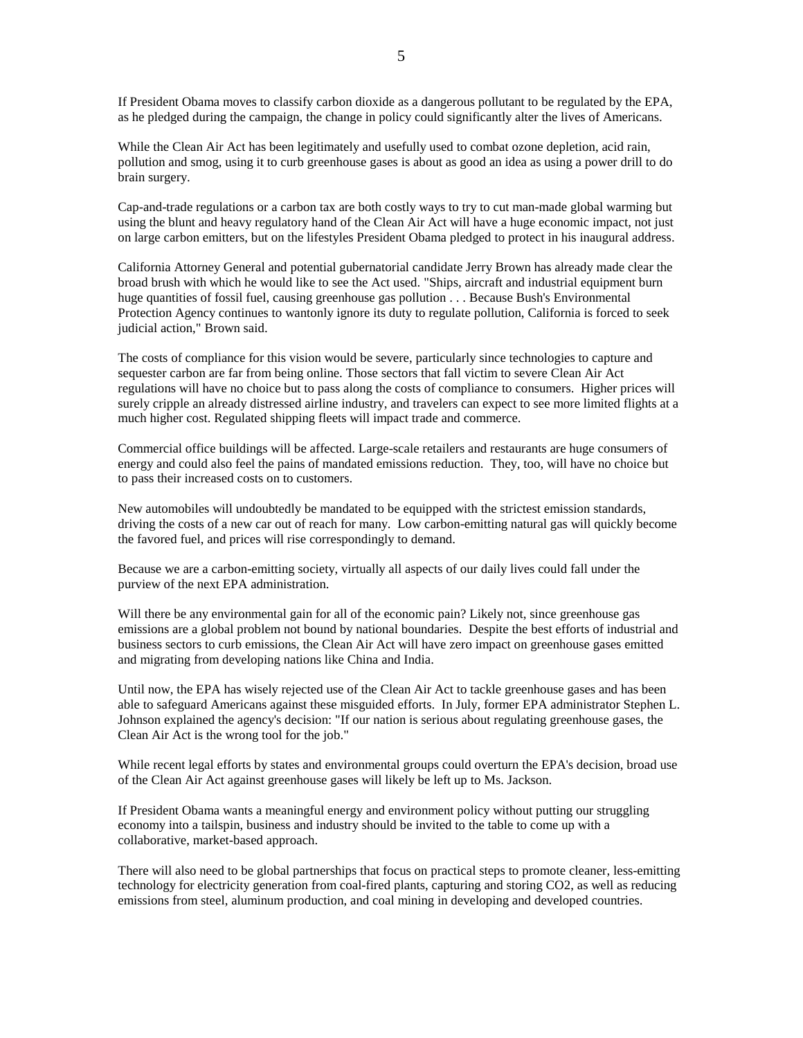If President Obama moves to classify carbon dioxide as a dangerous pollutant to be regulated by the EPA, as he pledged during the campaign, the change in policy could significantly alter the lives of Americans.

While the Clean Air Act has been legitimately and usefully used to combat ozone depletion, acid rain, pollution and smog, using it to curb greenhouse gases is about as good an idea as using a power drill to do brain surgery.

Cap-and-trade regulations or a carbon tax are both costly ways to try to cut man-made global warming but using the blunt and heavy regulatory hand of the Clean Air Act will have a huge economic impact, not just on large carbon emitters, but on the lifestyles President Obama pledged to protect in his inaugural address.

California Attorney General and potential gubernatorial candidate Jerry Brown has already made clear the broad brush with which he would like to see the Act used. "Ships, aircraft and industrial equipment burn huge quantities of fossil fuel, causing greenhouse gas pollution . . . Because Bush's Environmental Protection Agency continues to wantonly ignore its duty to regulate pollution, California is forced to seek judicial action," Brown said.

The costs of compliance for this vision would be severe, particularly since technologies to capture and sequester carbon are far from being online. Those sectors that fall victim to severe Clean Air Act regulations will have no choice but to pass along the costs of compliance to consumers. Higher prices will surely cripple an already distressed airline industry, and travelers can expect to see more limited flights at a much higher cost. Regulated shipping fleets will impact trade and commerce.

Commercial office buildings will be affected. Large-scale retailers and restaurants are huge consumers of energy and could also feel the pains of mandated emissions reduction. They, too, will have no choice but to pass their increased costs on to customers.

New automobiles will undoubtedly be mandated to be equipped with the strictest emission standards, driving the costs of a new car out of reach for many. Low carbon-emitting natural gas will quickly become the favored fuel, and prices will rise correspondingly to demand.

Because we are a carbon-emitting society, virtually all aspects of our daily lives could fall under the purview of the next EPA administration.

Will there be any environmental gain for all of the economic pain? Likely not, since greenhouse gas emissions are a global problem not bound by national boundaries. Despite the best efforts of industrial and business sectors to curb emissions, the Clean Air Act will have zero impact on greenhouse gases emitted and migrating from developing nations like China and India.

Until now, the EPA has wisely rejected use of the Clean Air Act to tackle greenhouse gases and has been able to safeguard Americans against these misguided efforts. In July, former EPA administrator Stephen L. Johnson explained the agency's decision: "If our nation is serious about regulating greenhouse gases, the Clean Air Act is the wrong tool for the job."

While recent legal efforts by states and environmental groups could overturn the EPA's decision, broad use of the Clean Air Act against greenhouse gases will likely be left up to Ms. Jackson.

If President Obama wants a meaningful energy and environment policy without putting our struggling economy into a tailspin, business and industry should be invited to the table to come up with a collaborative, market-based approach.

There will also need to be global partnerships that focus on practical steps to promote cleaner, less-emitting technology for electricity generation from coal-fired plants, capturing and storing CO2, as well as reducing emissions from steel, aluminum production, and coal mining in developing and developed countries.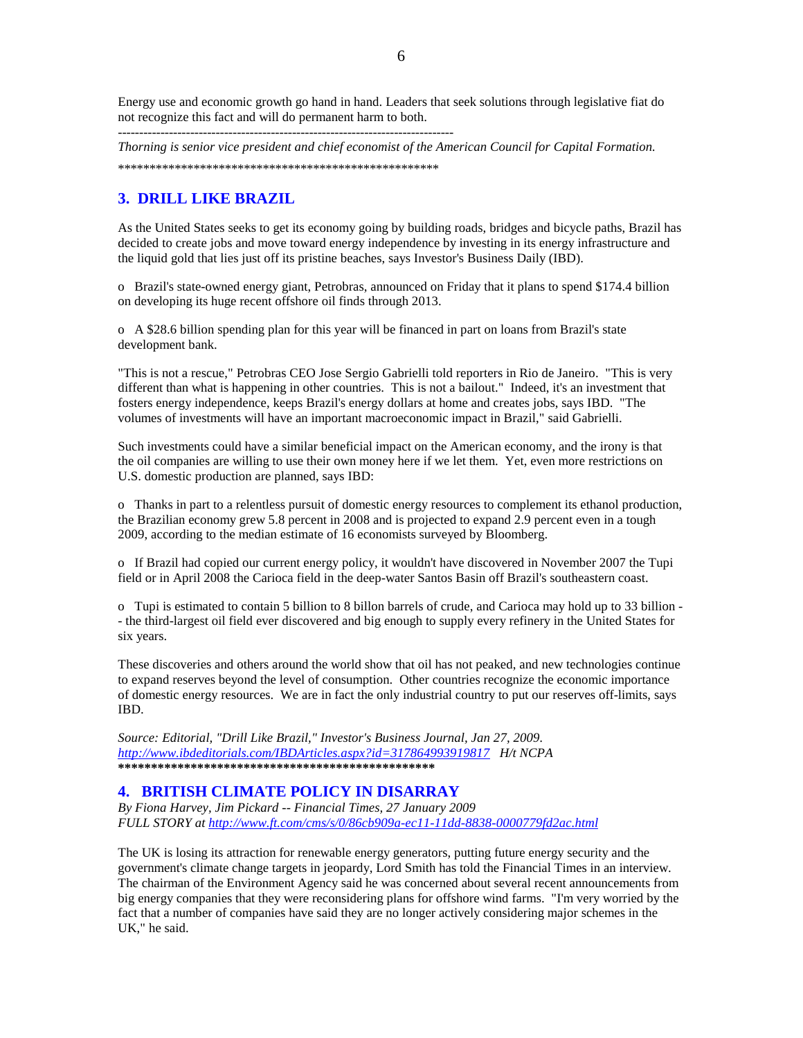Energy use and economic growth go hand in hand. Leaders that seek solutions through legislative fiat do not recognize this fact and will do permanent harm to both.

*Thorning is senior vice president and chief economist of the American Council for Capital Formation.*  \*\*\*\*\*\*\*\*\*\*\*\*\*\*\*\*\*\*\*\*\*\*\*\*\*\*\*\*\*\*\*\*\*\*\*\*\*\*\*\*\*\*\*\*\*\*\*\*\*\*\*

# **3. DRILL LIKE BRAZIL**

-------------------------------------------------------------------------------

As the United States seeks to get its economy going by building roads, bridges and bicycle paths, Brazil has decided to create jobs and move toward energy independence by investing in its energy infrastructure and the liquid gold that lies just off its pristine beaches, says Investor's Business Daily (IBD).

o Brazil's state-owned energy giant, Petrobras, announced on Friday that it plans to spend \$174.4 billion on developing its huge recent offshore oil finds through 2013.

o A \$28.6 billion spending plan for this year will be financed in part on loans from Brazil's state development bank.

"This is not a rescue," Petrobras CEO Jose Sergio Gabrielli told reporters in Rio de Janeiro. "This is very different than what is happening in other countries. This is not a bailout." Indeed, it's an investment that fosters energy independence, keeps Brazil's energy dollars at home and creates jobs, says IBD. "The volumes of investments will have an important macroeconomic impact in Brazil," said Gabrielli.

Such investments could have a similar beneficial impact on the American economy, and the irony is that the oil companies are willing to use their own money here if we let them. Yet, even more restrictions on U.S. domestic production are planned, says IBD:

o Thanks in part to a relentless pursuit of domestic energy resources to complement its ethanol production, the Brazilian economy grew 5.8 percent in 2008 and is projected to expand 2.9 percent even in a tough 2009, according to the median estimate of 16 economists surveyed by Bloomberg.

o If Brazil had copied our current energy policy, it wouldn't have discovered in November 2007 the Tupi field or in April 2008 the Carioca field in the deep-water Santos Basin off Brazil's southeastern coast.

o Tupi is estimated to contain 5 billion to 8 billon barrels of crude, and Carioca may hold up to 33 billion - - the third-largest oil field ever discovered and big enough to supply every refinery in the United States for six years.

These discoveries and others around the world show that oil has not peaked, and new technologies continue to expand reserves beyond the level of consumption. Other countries recognize the economic importance of domestic energy resources. We are in fact the only industrial country to put our reserves off-limits, says IBD.

*Source: Editorial, "Drill Like Brazil," Investor's Business Journal, Jan 27, 2009. http://www.ibdeditorials.com/IBDArticles.aspx?id=317864993919817 H/t NCPA*  **\*\*\*\*\*\*\*\*\*\*\*\*\*\*\*\*\*\*\*\*\*\*\*\*\*\*\*\*\*\*\*\*\*\*\*\*\*\*\*\*\*\*\*\*\*\*\*\*** 

## **4. BRITISH CLIMATE POLICY IN DISARRAY**

*By Fiona Harvey, Jim Pickard -- Financial Times, 27 January 2009 FULL STORY at http://www.ft.com/cms/s/0/86cb909a-ec11-11dd-8838-0000779fd2ac.html*

The UK is losing its attraction for renewable energy generators, putting future energy security and the government's climate change targets in jeopardy, Lord Smith has told the Financial Times in an interview. The chairman of the Environment Agency said he was concerned about several recent announcements from big energy companies that they were reconsidering plans for offshore wind farms. "I'm very worried by the fact that a number of companies have said they are no longer actively considering major schemes in the UK," he said.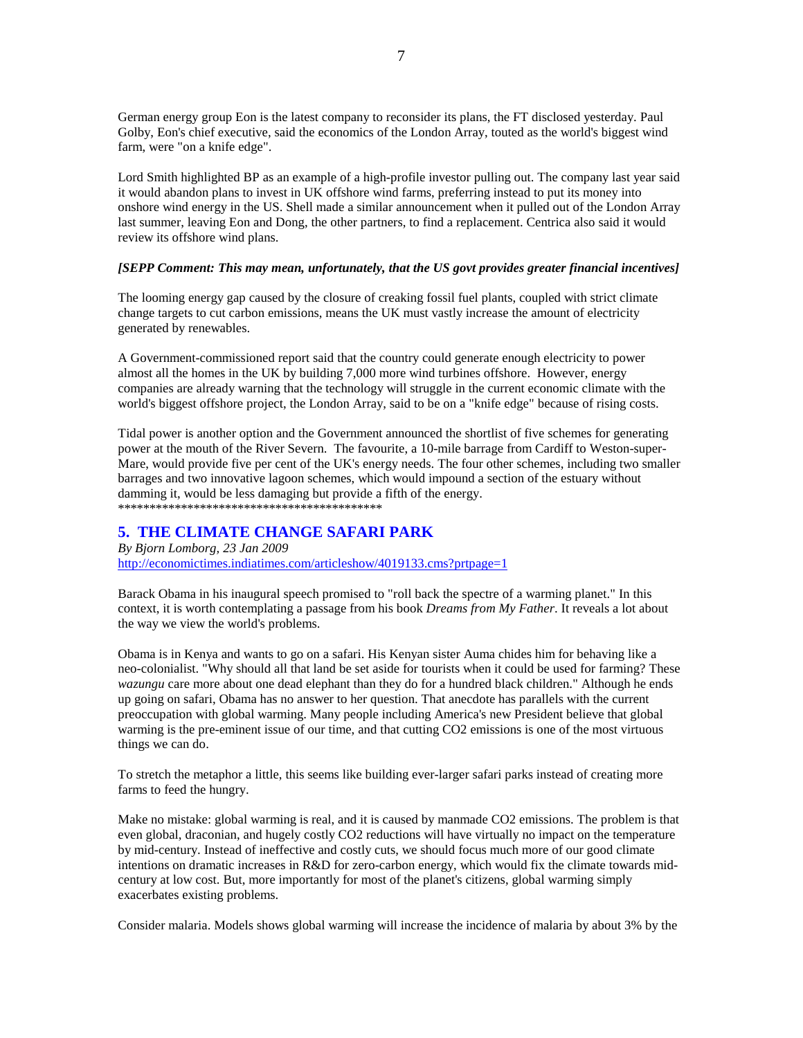German energy group Eon is the latest company to reconsider its plans, the FT disclosed yesterday. Paul Golby, Eon's chief executive, said the economics of the London Array, touted as the world's biggest wind farm, were "on a knife edge".

Lord Smith highlighted BP as an example of a high-profile investor pulling out. The company last year said it would abandon plans to invest in UK offshore wind farms, preferring instead to put its money into onshore wind energy in the US. Shell made a similar announcement when it pulled out of the London Array last summer, leaving Eon and Dong, the other partners, to find a replacement. Centrica also said it would review its offshore wind plans.

## *[SEPP Comment: This may mean, unfortunately, that the US govt provides greater financial incentives]*

The looming energy gap caused by the closure of creaking fossil fuel plants, coupled with strict climate change targets to cut carbon emissions, means the UK must vastly increase the amount of electricity generated by renewables.

A Government-commissioned report said that the country could generate enough electricity to power almost all the homes in the UK by building 7,000 more wind turbines offshore. However, energy companies are already warning that the technology will struggle in the current economic climate with the world's biggest offshore project, the London Array, said to be on a "knife edge" because of rising costs.

Tidal power is another option and the Government announced the shortlist of five schemes for generating power at the mouth of the River Severn. The favourite, a 10-mile barrage from Cardiff to Weston-super-Mare, would provide five per cent of the UK's energy needs. The four other schemes, including two smaller barrages and two innovative lagoon schemes, which would impound a section of the estuary without damming it, would be less damaging but provide a fifth of the energy. \*\*\*\*\*\*\*\*\*\*\*\*\*\*\*\*\*\*\*\*\*\*\*\*\*\*\*\*\*\*\*\*\*\*\*\*\*\*\*\*\*\*

## **5. THE CLIMATE CHANGE SAFARI PARK**

*By Bjorn Lomborg, 23 Jan 2009*  http://economictimes.indiatimes.com/articleshow/4019133.cms?prtpage=1

Barack Obama in his inaugural speech promised to "roll back the spectre of a warming planet." In this context, it is worth contemplating a passage from his book *Dreams from My Father*. It reveals a lot about the way we view the world's problems.

Obama is in Kenya and wants to go on a safari. His Kenyan sister Auma chides him for behaving like a neo-colonialist. "Why should all that land be set aside for tourists when it could be used for farming? These *wazungu* care more about one dead elephant than they do for a hundred black children." Although he ends up going on safari, Obama has no answer to her question. That anecdote has parallels with the current preoccupation with global warming. Many people including America's new President believe that global warming is the pre-eminent issue of our time, and that cutting CO2 emissions is one of the most virtuous things we can do.

To stretch the metaphor a little, this seems like building ever-larger safari parks instead of creating more farms to feed the hungry.

Make no mistake: global warming is real, and it is caused by manmade CO2 emissions. The problem is that even global, draconian, and hugely costly CO2 reductions will have virtually no impact on the temperature by mid-century. Instead of ineffective and costly cuts, we should focus much more of our good climate intentions on dramatic increases in R&D for zero-carbon energy, which would fix the climate towards midcentury at low cost. But, more importantly for most of the planet's citizens, global warming simply exacerbates existing problems.

Consider malaria. Models shows global warming will increase the incidence of malaria by about 3% by the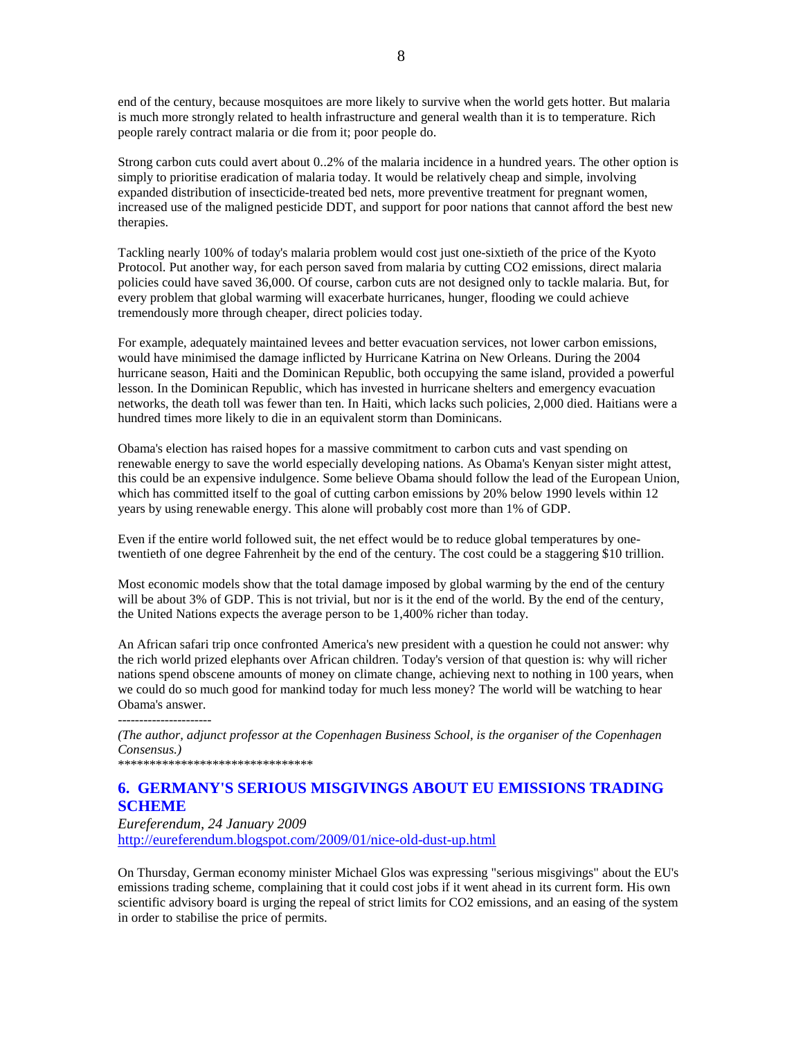end of the century, because mosquitoes are more likely to survive when the world gets hotter. But malaria is much more strongly related to health infrastructure and general wealth than it is to temperature. Rich people rarely contract malaria or die from it; poor people do.

Strong carbon cuts could avert about 0..2% of the malaria incidence in a hundred years. The other option is simply to prioritise eradication of malaria today. It would be relatively cheap and simple, involving expanded distribution of insecticide-treated bed nets, more preventive treatment for pregnant women, increased use of the maligned pesticide DDT, and support for poor nations that cannot afford the best new therapies.

Tackling nearly 100% of today's malaria problem would cost just one-sixtieth of the price of the Kyoto Protocol. Put another way, for each person saved from malaria by cutting CO2 emissions, direct malaria policies could have saved 36,000. Of course, carbon cuts are not designed only to tackle malaria. But, for every problem that global warming will exacerbate hurricanes, hunger, flooding we could achieve tremendously more through cheaper, direct policies today.

For example, adequately maintained levees and better evacuation services, not lower carbon emissions, would have minimised the damage inflicted by Hurricane Katrina on New Orleans. During the 2004 hurricane season, Haiti and the Dominican Republic, both occupying the same island, provided a powerful lesson. In the Dominican Republic, which has invested in hurricane shelters and emergency evacuation networks, the death toll was fewer than ten. In Haiti, which lacks such policies, 2,000 died. Haitians were a hundred times more likely to die in an equivalent storm than Dominicans.

Obama's election has raised hopes for a massive commitment to carbon cuts and vast spending on renewable energy to save the world especially developing nations. As Obama's Kenyan sister might attest, this could be an expensive indulgence. Some believe Obama should follow the lead of the European Union, which has committed itself to the goal of cutting carbon emissions by 20% below 1990 levels within 12 years by using renewable energy. This alone will probably cost more than 1% of GDP.

Even if the entire world followed suit, the net effect would be to reduce global temperatures by onetwentieth of one degree Fahrenheit by the end of the century. The cost could be a staggering \$10 trillion.

Most economic models show that the total damage imposed by global warming by the end of the century will be about 3% of GDP. This is not trivial, but nor is it the end of the world. By the end of the century, the United Nations expects the average person to be 1,400% richer than today.

An African safari trip once confronted America's new president with a question he could not answer: why the rich world prized elephants over African children. Today's version of that question is: why will richer nations spend obscene amounts of money on climate change, achieving next to nothing in 100 years, when we could do so much good for mankind today for much less money? The world will be watching to hear Obama's answer.

----------------------

*(The author, adjunct professor at the Copenhagen Business School, is the organiser of the Copenhagen Consensus.)* 

\*\*\*\*\*\*\*\*\*\*\*\*\*\*\*\*\*\*\*\*\*\*\*\*\*\*\*\*\*\*\*

# **6. GERMANY'S SERIOUS MISGIVINGS ABOUT EU EMISSIONS TRADING SCHEME**

## *Eureferendum, 24 January 2009*  http://eureferendum.blogspot.com/2009/01/nice-old-dust-up.html

On Thursday, German economy minister Michael Glos was expressing "serious misgivings" about the EU's emissions trading scheme, complaining that it could cost jobs if it went ahead in its current form. His own scientific advisory board is urging the repeal of strict limits for CO2 emissions, and an easing of the system in order to stabilise the price of permits.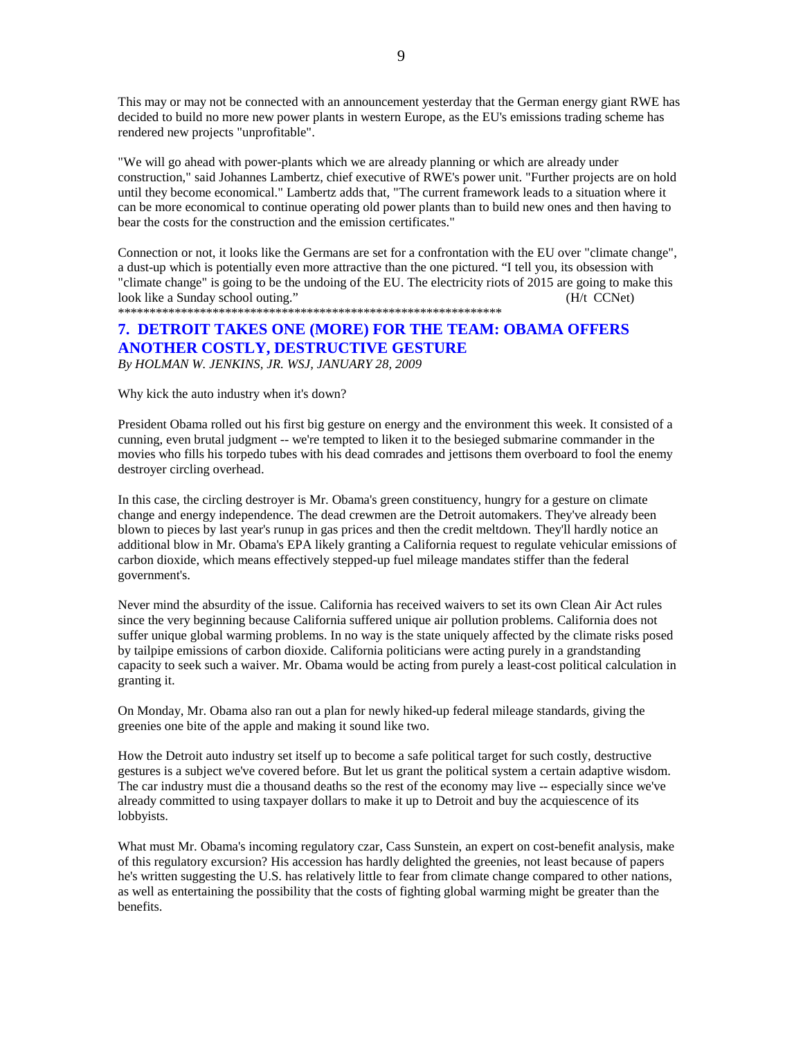This may or may not be connected with an announcement yesterday that the German energy giant RWE has decided to build no more new power plants in western Europe, as the EU's emissions trading scheme has rendered new projects "unprofitable".

"We will go ahead with power-plants which we are already planning or which are already under construction," said Johannes Lambertz, chief executive of RWE's power unit. "Further projects are on hold until they become economical." Lambertz adds that, "The current framework leads to a situation where it can be more economical to continue operating old power plants than to build new ones and then having to bear the costs for the construction and the emission certificates."

Connection or not, it looks like the Germans are set for a confrontation with the EU over "climate change", a dust-up which is potentially even more attractive than the one pictured. "I tell you, its obsession with "climate change" is going to be the undoing of the EU. The electricity riots of 2015 are going to make this look like a Sunday school outing." (H/t CCNet)

\*\*\*\*\*\*\*\*\*\*\*\*\*\*\*\*\*\*\*\*\*\*\*\*\*\*\*\*\*\*\*\*\*\*\*\*\*\*\*\*\*\*\*\*\*\*\*\*\*\*\*\*\*\*\*\*\*\*\*\*\*

# **7. DETROIT TAKES ONE (MORE) FOR THE TEAM: OBAMA OFFERS ANOTHER COSTLY, DESTRUCTIVE GESTURE**

*By HOLMAN W. JENKINS, JR. WSJ, JANUARY 28, 2009* 

Why kick the auto industry when it's down?

President Obama rolled out his first big gesture on energy and the environment this week. It consisted of a cunning, even brutal judgment -- we're tempted to liken it to the besieged submarine commander in the movies who fills his torpedo tubes with his dead comrades and jettisons them overboard to fool the enemy destroyer circling overhead.

In this case, the circling destroyer is Mr. Obama's green constituency, hungry for a gesture on climate change and energy independence. The dead crewmen are the Detroit automakers. They've already been blown to pieces by last year's runup in gas prices and then the credit meltdown. They'll hardly notice an additional blow in Mr. Obama's EPA likely granting a California request to regulate vehicular emissions of carbon dioxide, which means effectively stepped-up fuel mileage mandates stiffer than the federal government's.

Never mind the absurdity of the issue. California has received waivers to set its own Clean Air Act rules since the very beginning because California suffered unique air pollution problems. California does not suffer unique global warming problems. In no way is the state uniquely affected by the climate risks posed by tailpipe emissions of carbon dioxide. California politicians were acting purely in a grandstanding capacity to seek such a waiver. Mr. Obama would be acting from purely a least-cost political calculation in granting it.

On Monday, Mr. Obama also ran out a plan for newly hiked-up federal mileage standards, giving the greenies one bite of the apple and making it sound like two.

How the Detroit auto industry set itself up to become a safe political target for such costly, destructive gestures is a subject we've covered before. But let us grant the political system a certain adaptive wisdom. The car industry must die a thousand deaths so the rest of the economy may live -- especially since we've already committed to using taxpayer dollars to make it up to Detroit and buy the acquiescence of its lobbyists.

What must Mr. Obama's incoming regulatory czar, Cass Sunstein, an expert on cost-benefit analysis, make of this regulatory excursion? His accession has hardly delighted the greenies, not least because of papers he's written suggesting the U.S. has relatively little to fear from climate change compared to other nations, as well as entertaining the possibility that the costs of fighting global warming might be greater than the benefits.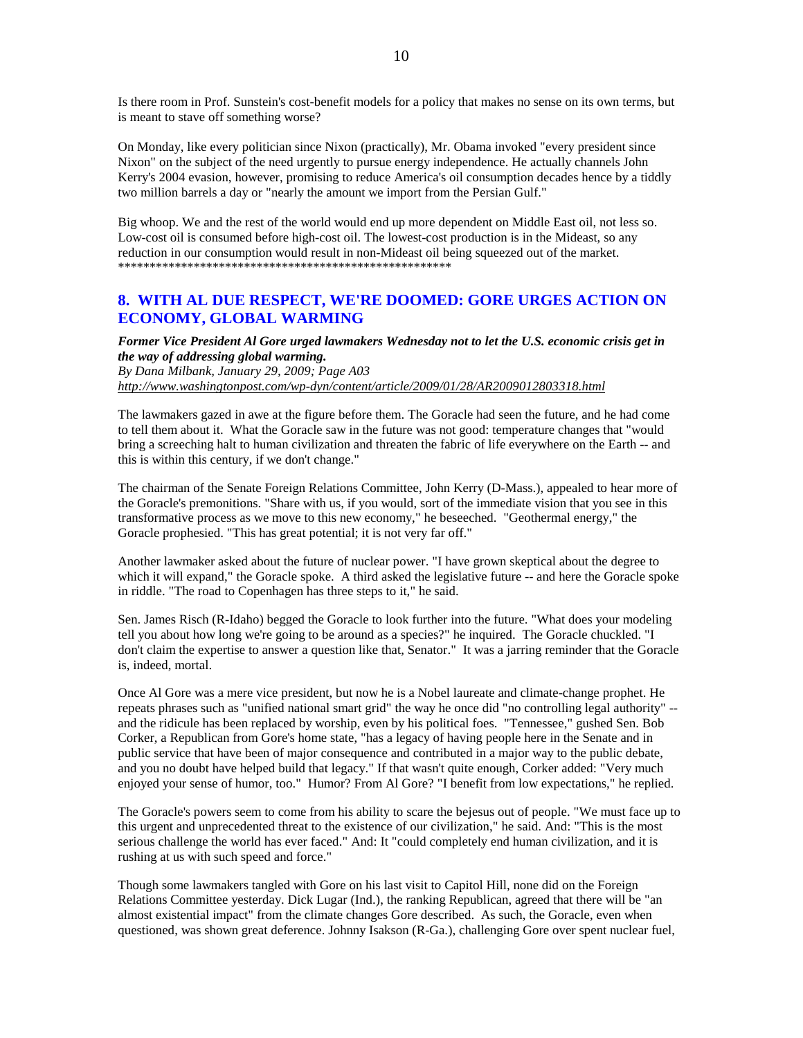Is there room in Prof. Sunstein's cost-benefit models for a policy that makes no sense on its own terms, but is meant to stave off something worse?

On Monday, like every politician since Nixon (practically), Mr. Obama invoked "every president since Nixon" on the subject of the need urgently to pursue energy independence. He actually channels John Kerry's 2004 evasion, however, promising to reduce America's oil consumption decades hence by a tiddly two million barrels a day or "nearly the amount we import from the Persian Gulf."

Big whoop. We and the rest of the world would end up more dependent on Middle East oil, not less so. Low-cost oil is consumed before high-cost oil. The lowest-cost production is in the Mideast, so any reduction in our consumption would result in non-Mideast oil being squeezed out of the market. \*\*\*\*\*\*\*\*\*\*\*\*\*\*\*\*\*\*\*\*\*\*\*\*\*\*\*\*\*\*\*\*\*\*\*\*\*\*\*\*\*\*\*\*\*\*\*\*\*\*\*\*\*

## **8. WITH AL DUE RESPECT, WE'RE DOOMED: GORE URGES ACTION ON ECONOMY, GLOBAL WARMING**

*Former Vice President Al Gore urged lawmakers Wednesday not to let the U.S. economic crisis get in the way of addressing global warming.*

*By Dana Milbank, January 29, 2009; Page A03 http://www.washingtonpost.com/wp-dyn/content/article/2009/01/28/AR2009012803318.html*

The lawmakers gazed in awe at the figure before them. The Goracle had seen the future, and he had come to tell them about it. What the Goracle saw in the future was not good: temperature changes that "would bring a screeching halt to human civilization and threaten the fabric of life everywhere on the Earth -- and this is within this century, if we don't change."

The chairman of the Senate Foreign Relations Committee, John Kerry (D-Mass.), appealed to hear more of the Goracle's premonitions. "Share with us, if you would, sort of the immediate vision that you see in this transformative process as we move to this new economy," he beseeched. "Geothermal energy," the Goracle prophesied. "This has great potential; it is not very far off."

Another lawmaker asked about the future of nuclear power. "I have grown skeptical about the degree to which it will expand," the Goracle spoke. A third asked the legislative future -- and here the Goracle spoke in riddle. "The road to Copenhagen has three steps to it," he said.

Sen. James Risch (R-Idaho) begged the Goracle to look further into the future. "What does your modeling tell you about how long we're going to be around as a species?" he inquired. The Goracle chuckled. "I don't claim the expertise to answer a question like that, Senator." It was a jarring reminder that the Goracle is, indeed, mortal.

Once Al Gore was a mere vice president, but now he is a Nobel laureate and climate-change prophet. He repeats phrases such as "unified national smart grid" the way he once did "no controlling legal authority" - and the ridicule has been replaced by worship, even by his political foes. "Tennessee," gushed Sen. Bob Corker, a Republican from Gore's home state, "has a legacy of having people here in the Senate and in public service that have been of major consequence and contributed in a major way to the public debate, and you no doubt have helped build that legacy." If that wasn't quite enough, Corker added: "Very much enjoyed your sense of humor, too." Humor? From Al Gore? "I benefit from low expectations," he replied.

The Goracle's powers seem to come from his ability to scare the bejesus out of people. "We must face up to this urgent and unprecedented threat to the existence of our civilization," he said. And: "This is the most serious challenge the world has ever faced." And: It "could completely end human civilization, and it is rushing at us with such speed and force."

Though some lawmakers tangled with Gore on his last visit to Capitol Hill, none did on the Foreign Relations Committee yesterday. Dick Lugar (Ind.), the ranking Republican, agreed that there will be "an almost existential impact" from the climate changes Gore described. As such, the Goracle, even when questioned, was shown great deference. Johnny Isakson (R-Ga.), challenging Gore over spent nuclear fuel,